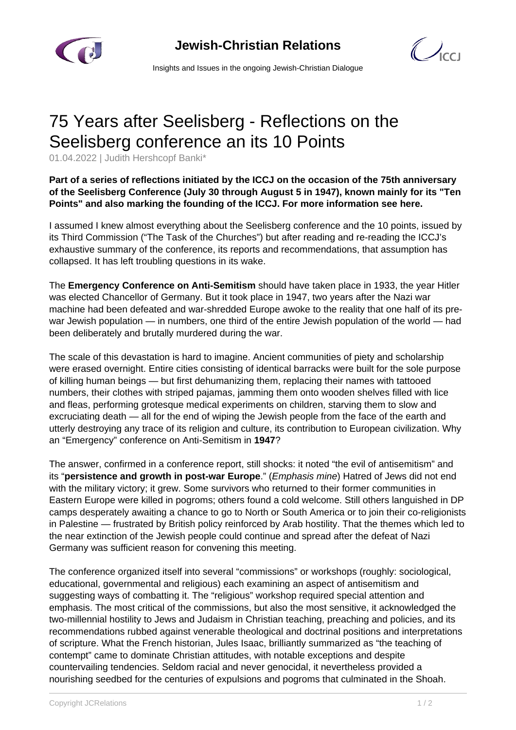



Insights and Issues in the ongoing Jewish-Christian Dialogue

## 75 Years after Seelisberg - Reflections on the Seelisberg conference an its 10 Points

01.04.2022 | Judith Hershcopf Banki\*

## **Part of a series of reflections initiated by the ICCJ on the occasion of the 75th anniversary of the Seelisberg Conference (July 30 through August 5 in 1947), known mainly for its "Ten Points" and also marking the founding of the ICCJ. For more information see here.**

I assumed I knew almost everything about the Seelisberg conference and the 10 points, issued by its Third Commission ("The Task of the Churches") but after reading and re-reading the ICCJ's exhaustive summary of the conference, its reports and recommendations, that assumption has collapsed. It has left troubling questions in its wake.

The **Emergency Conference on Anti-Semitism** should have taken place in 1933, the year Hitler was elected Chancellor of Germany. But it took place in 1947, two years after the Nazi war machine had been defeated and war-shredded Europe awoke to the reality that one half of its prewar Jewish population — in numbers, one third of the entire Jewish population of the world — had been deliberately and brutally murdered during the war.

The scale of this devastation is hard to imagine. Ancient communities of piety and scholarship were erased overnight. Entire cities consisting of identical barracks were built for the sole purpose of killing human beings — but first dehumanizing them, replacing their names with tattooed numbers, their clothes with striped pajamas, jamming them onto wooden shelves filled with lice and fleas, performing grotesque medical experiments on children, starving them to slow and excruciating death — all for the end of wiping the Jewish people from the face of the earth and utterly destroying any trace of its religion and culture, its contribution to European civilization. Why an "Emergency" conference on Anti-Semitism in **1947**?

The answer, confirmed in a conference report, still shocks: it noted "the evil of antisemitism" and its "**persistence and growth in post-war Europe**." (Emphasis mine) Hatred of Jews did not end with the military victory; it grew. Some survivors who returned to their former communities in Eastern Europe were killed in pogroms; others found a cold welcome. Still others languished in DP camps desperately awaiting a chance to go to North or South America or to join their co-religionists in Palestine — frustrated by British policy reinforced by Arab hostility. That the themes which led to the near extinction of the Jewish people could continue and spread after the defeat of Nazi Germany was sufficient reason for convening this meeting.

The conference organized itself into several "commissions" or workshops (roughly: sociological, educational, governmental and religious) each examining an aspect of antisemitism and suggesting ways of combatting it. The "religious" workshop required special attention and emphasis. The most critical of the commissions, but also the most sensitive, it acknowledged the two-millennial hostility to Jews and Judaism in Christian teaching, preaching and policies, and its recommendations rubbed against venerable theological and doctrinal positions and interpretations of scripture. What the French historian, Jules Isaac, brilliantly summarized as "the teaching of contempt" came to dominate Christian attitudes, with notable exceptions and despite countervailing tendencies. Seldom racial and never genocidal, it nevertheless provided a nourishing seedbed for the centuries of expulsions and pogroms that culminated in the Shoah.